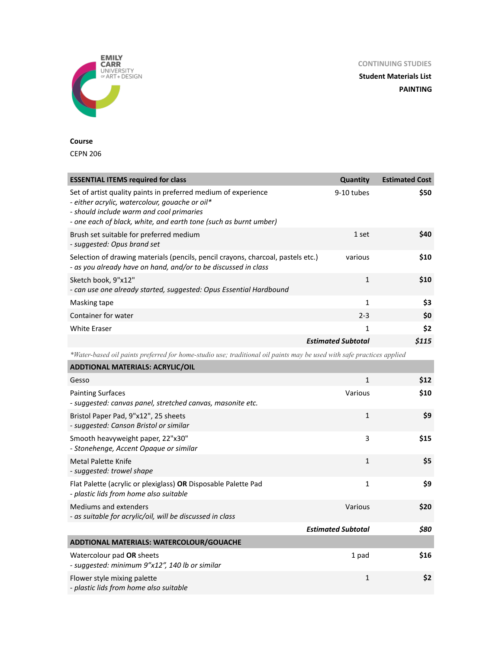**CONTINUING STUDIES**

**Student Materials List PAINTING**



## **Course**

CEPN 206

| <b>ESSENTIAL ITEMS required for class</b>                                                                                                                                                                                        | <b>Quantity</b>           | <b>Estimated Cost</b> |
|----------------------------------------------------------------------------------------------------------------------------------------------------------------------------------------------------------------------------------|---------------------------|-----------------------|
| Set of artist quality paints in preferred medium of experience<br>- either acrylic, watercolour, gouache or oil*<br>- should include warm and cool primaries<br>- one each of black, white, and earth tone (such as burnt umber) | 9-10 tubes                | \$50                  |
| Brush set suitable for preferred medium<br>- suggested: Opus brand set                                                                                                                                                           | 1 set                     | \$40                  |
| Selection of drawing materials (pencils, pencil crayons, charcoal, pastels etc.)<br>- as you already have on hand, and/or to be discussed in class                                                                               | various                   | \$10                  |
| Sketch book, 9"x12"<br>- can use one already started, suggested: Opus Essential Hardbound                                                                                                                                        | $\mathbf{1}$              | \$10                  |
| Masking tape                                                                                                                                                                                                                     | 1                         | \$3                   |
| Container for water                                                                                                                                                                                                              | $2 - 3$                   | \$0                   |
| <b>White Eraser</b>                                                                                                                                                                                                              | 1                         | \$2                   |
|                                                                                                                                                                                                                                  | <b>Estimated Subtotal</b> | \$115                 |

*\*Water-based oil paints preferred for home-studio use; traditional oil paints may be used with safe practices applied*

| <b>ADDTIONAL MATERIALS: ACRYLIC/OIL</b>                                                                  |                           |      |
|----------------------------------------------------------------------------------------------------------|---------------------------|------|
| Gesso                                                                                                    | $\mathbf{1}$              | \$12 |
| <b>Painting Surfaces</b><br>- suggested: canvas panel, stretched canvas, masonite etc.                   | Various                   | \$10 |
| Bristol Paper Pad, 9"x12", 25 sheets<br>- suggested: Canson Bristol or similar                           | $\mathbf 1$               | \$9  |
| Smooth heavyweight paper, 22"x30"<br>- Stonehenge, Accent Opaque or similar                              | 3                         | \$15 |
| Metal Palette Knife<br>- suggested: trowel shape                                                         | $\mathbf{1}$              | \$5  |
| Flat Palette (acrylic or plexiglass) OR Disposable Palette Pad<br>- plastic lids from home also suitable | $\mathbf{1}$              | \$9  |
| <b>Mediums and extenders</b><br>- as suitable for acrylic/oil, will be discussed in class                | Various                   | \$20 |
|                                                                                                          | <b>Estimated Subtotal</b> | \$80 |
| ADDTIONAL MATERIALS: WATERCOLOUR/GOUACHE                                                                 |                           |      |
| Watercolour pad OR sheets<br>- suggested: minimum 9"x12", 140 lb or similar                              | 1 pad                     | \$16 |
| Flower style mixing palette<br>- plastic lids from home also suitable                                    | $\mathbf{1}$              | \$2  |